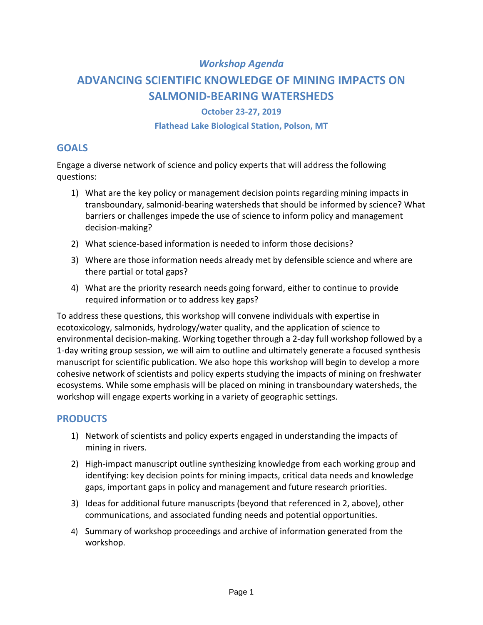# *Workshop Agenda*

# **ADVANCING SCIENTIFIC KNOWLEDGE OF MINING IMPACTS ON SALMONID-BEARING WATERSHEDS**

### **October 23-27, 2019**

#### **Flathead Lake Biological Station, Polson, MT**

## **GOALS**

Engage a diverse network of science and policy experts that will address the following questions:

- 1) What are the key policy or management decision points regarding mining impacts in transboundary, salmonid-bearing watersheds that should be informed by science? What barriers or challenges impede the use of science to inform policy and management decision-making?
- 2) What science-based information is needed to inform those decisions?
- 3) Where are those information needs already met by defensible science and where are there partial or total gaps?
- 4) What are the priority research needs going forward, either to continue to provide required information or to address key gaps?

To address these questions, this workshop will convene individuals with expertise in ecotoxicology, salmonids, hydrology/water quality, and the application of science to environmental decision-making. Working together through a 2-day full workshop followed by a 1-day writing group session, we will aim to outline and ultimately generate a focused synthesis manuscript for scientific publication. We also hope this workshop will begin to develop a more cohesive network of scientists and policy experts studying the impacts of mining on freshwater ecosystems. While some emphasis will be placed on mining in transboundary watersheds, the workshop will engage experts working in a variety of geographic settings.

# **PRODUCTS**

- 1) Network of scientists and policy experts engaged in understanding the impacts of mining in rivers.
- 2) High-impact manuscript outline synthesizing knowledge from each working group and identifying: key decision points for mining impacts, critical data needs and knowledge gaps, important gaps in policy and management and future research priorities.
- 3) Ideas for additional future manuscripts (beyond that referenced in 2, above), other communications, and associated funding needs and potential opportunities.
- 4) Summary of workshop proceedings and archive of information generated from the workshop.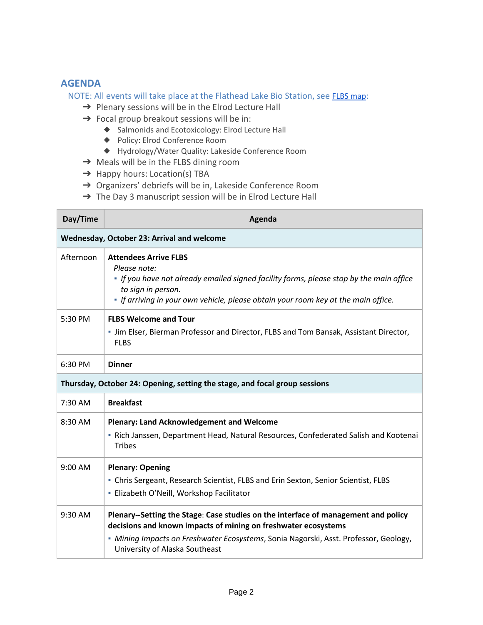## **AGENDA**

NOTE: All events will take place at the Flathead Lake Bio Station, see [FLBS map](https://drive.google.com/file/d/1TxiB43ZrvJFoadmSW-Y2TXqNjsdPbbyV/view?usp=sharing):

- → Plenary sessions will be in the Elrod Lecture Hall
- → Focal group breakout sessions will be in:
	- ◆ Salmonids and Ecotoxicology: Elrod Lecture Hall
	- ◆ Policy: Elrod Conference Room
	- ◆ Hydrology/Water Quality: Lakeside Conference Room
- → Meals will be in the FLBS dining room
- → Happy hours: Location(s) TBA
- → Organizers' debriefs will be in, Lakeside Conference Room
- → The Day 3 manuscript session will be in Elrod Lecture Hall

| Day/Time                                                                   | Agenda                                                                                                                                                                                                                                                                         |  |
|----------------------------------------------------------------------------|--------------------------------------------------------------------------------------------------------------------------------------------------------------------------------------------------------------------------------------------------------------------------------|--|
| Wednesday, October 23: Arrival and welcome                                 |                                                                                                                                                                                                                                                                                |  |
| Afternoon                                                                  | <b>Attendees Arrive FLBS</b><br>Please note:<br>If you have not already emailed signed facility forms, please stop by the main office<br>to sign in person.<br>. If arriving in your own vehicle, please obtain your room key at the main office.                              |  |
| 5:30 PM                                                                    | <b>FLBS Welcome and Tour</b><br>- Jim Elser, Bierman Professor and Director, FLBS and Tom Bansak, Assistant Director,<br><b>FLBS</b>                                                                                                                                           |  |
| 6:30 PM                                                                    | <b>Dinner</b>                                                                                                                                                                                                                                                                  |  |
| Thursday, October 24: Opening, setting the stage, and focal group sessions |                                                                                                                                                                                                                                                                                |  |
| 7:30 AM                                                                    | <b>Breakfast</b>                                                                                                                                                                                                                                                               |  |
| 8:30 AM                                                                    | <b>Plenary: Land Acknowledgement and Welcome</b><br>- Rich Janssen, Department Head, Natural Resources, Confederated Salish and Kootenai<br><b>Tribes</b>                                                                                                                      |  |
| 9:00 AM                                                                    | <b>Plenary: Opening</b><br>- Chris Sergeant, Research Scientist, FLBS and Erin Sexton, Senior Scientist, FLBS<br>- Elizabeth O'Neill, Workshop Facilitator                                                                                                                     |  |
| 9:30 AM                                                                    | Plenary--Setting the Stage: Case studies on the interface of management and policy<br>decisions and known impacts of mining on freshwater ecosystems<br>- Mining Impacts on Freshwater Ecosystems, Sonia Nagorski, Asst. Professor, Geology,<br>University of Alaska Southeast |  |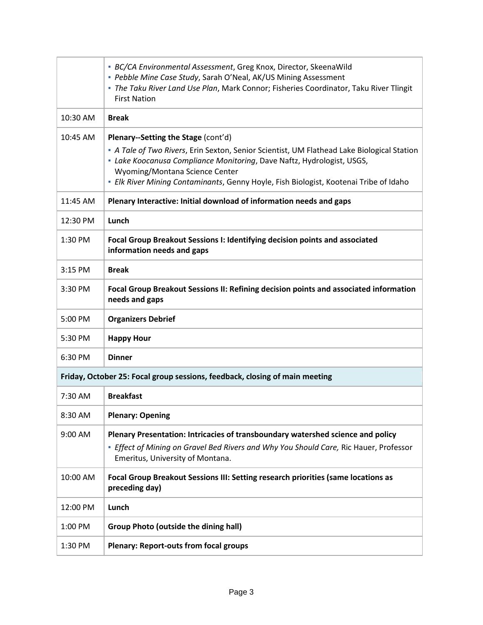|                                                                             | • BC/CA Environmental Assessment, Greg Knox, Director, SkeenaWild<br>- Pebble Mine Case Study, Sarah O'Neal, AK/US Mining Assessment<br>- The Taku River Land Use Plan, Mark Connor; Fisheries Coordinator, Taku River Tlingit<br><b>First Nation</b>                                                                                  |  |
|-----------------------------------------------------------------------------|----------------------------------------------------------------------------------------------------------------------------------------------------------------------------------------------------------------------------------------------------------------------------------------------------------------------------------------|--|
| 10:30 AM                                                                    | <b>Break</b>                                                                                                                                                                                                                                                                                                                           |  |
| 10:45 AM                                                                    | Plenary--Setting the Stage (cont'd)<br>- A Tale of Two Rivers, Erin Sexton, Senior Scientist, UM Flathead Lake Biological Station<br>- Lake Koocanusa Compliance Monitoring, Dave Naftz, Hydrologist, USGS,<br>Wyoming/Montana Science Center<br>- Elk River Mining Contaminants, Genny Hoyle, Fish Biologist, Kootenai Tribe of Idaho |  |
| 11:45 AM                                                                    | Plenary Interactive: Initial download of information needs and gaps                                                                                                                                                                                                                                                                    |  |
| 12:30 PM                                                                    | Lunch                                                                                                                                                                                                                                                                                                                                  |  |
| 1:30 PM                                                                     | Focal Group Breakout Sessions I: Identifying decision points and associated<br>information needs and gaps                                                                                                                                                                                                                              |  |
| 3:15 PM                                                                     | <b>Break</b>                                                                                                                                                                                                                                                                                                                           |  |
| 3:30 PM                                                                     | Focal Group Breakout Sessions II: Refining decision points and associated information<br>needs and gaps                                                                                                                                                                                                                                |  |
| 5:00 PM                                                                     | <b>Organizers Debrief</b>                                                                                                                                                                                                                                                                                                              |  |
| 5:30 PM                                                                     | <b>Happy Hour</b>                                                                                                                                                                                                                                                                                                                      |  |
| 6:30 PM                                                                     | <b>Dinner</b>                                                                                                                                                                                                                                                                                                                          |  |
| Friday, October 25: Focal group sessions, feedback, closing of main meeting |                                                                                                                                                                                                                                                                                                                                        |  |
| 7:30 AM                                                                     | <b>Breakfast</b>                                                                                                                                                                                                                                                                                                                       |  |
| 8:30 AM                                                                     | <b>Plenary: Opening</b>                                                                                                                                                                                                                                                                                                                |  |
| 9:00 AM                                                                     | Plenary Presentation: Intricacies of transboundary watershed science and policy<br><b>Effect of Mining on Gravel Bed Rivers and Why You Should Care, Ric Hauer, Professor</b><br>Emeritus, University of Montana.                                                                                                                      |  |
| 10:00 AM                                                                    | Focal Group Breakout Sessions III: Setting research priorities (same locations as<br>preceding day)                                                                                                                                                                                                                                    |  |
| 12:00 PM                                                                    | Lunch                                                                                                                                                                                                                                                                                                                                  |  |
| 1:00 PM                                                                     | <b>Group Photo (outside the dining hall)</b>                                                                                                                                                                                                                                                                                           |  |
| 1:30 PM                                                                     | <b>Plenary: Report-outs from focal groups</b>                                                                                                                                                                                                                                                                                          |  |